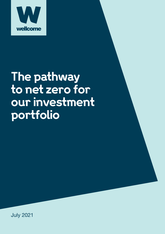

# **The pathway to net zero for our investment portfolio**

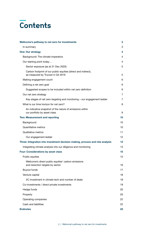## **Contents**

| Wellcome's pathway to net zero for investments                                                      | 3. |
|-----------------------------------------------------------------------------------------------------|----|
| In summary                                                                                          | 3. |
| <b>One: Our strategy</b>                                                                            | 4  |
| Background: The climate imperative                                                                  | 4  |
| Our starting point today                                                                            | 4  |
| Sector exposure (as at 31 Dec 2020)                                                                 | 5  |
| Carbon footprint of our public equities (direct and indirect),<br>as measured by Trucost in Q4 2019 | 5  |
| Making engagement count                                                                             | 6  |
| Defining a net zero goal                                                                            | 6  |
| Suggested scopes to be included within net zero definition                                          | 6  |
| Our net zero strategy                                                                               | 7  |
| Key stages of net zero targeting and monitoring - our engagement ladder                             | 7  |
| What is our time horizon for net zero?                                                              | 8  |
| An indicative snapshot of the nature of emissions within<br>our portfolio by asset class            | 9  |
| <b>Two: Measurement and reporting</b>                                                               | 10 |
| Background                                                                                          | 10 |
| Quantitative metrics                                                                                | 10 |
| Qualitative metrics                                                                                 | 11 |
| Our engagement ladder                                                                               | 12 |
| Three: Integration into investment decision making, process and risk analysis                       | 13 |
| Integrating climate analysis into our diligence and monitoring                                      | 13 |
| Four: Considerations by asset class                                                                 | 15 |
| Public equities                                                                                     | 15 |
| Wellcome's direct public equities' carbon emissions<br>and reduction targets by sector              | 16 |
| <b>Buyout funds</b>                                                                                 | 17 |
| Venture capital                                                                                     | 18 |
| VC investment in climate tech and number of deals                                                   | 18 |
| Co-investments / direct private investments                                                         | 19 |
| Hedge funds                                                                                         | 20 |
| Property                                                                                            | 20 |
| Operating companies                                                                                 | 22 |
| Cash and liabilities                                                                                | 22 |
| <b>Endnotes</b>                                                                                     | 23 |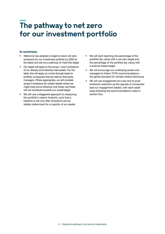## <span id="page-2-0"></span>**The pathway to net zero for our investment portfolio**

#### **In summary:**

- Wellcome has adopted a target to reach net zero emissions for our Investment portfolio by 2050 at the latest and set out a pathway to meet this target
- Our target will apply to the scope 1 and 2 emissions of our directly and indirectly-held assets. For the latter, this will apply on a look-through basis to portfolio companies that are held by third party managers. Where appropriate, we will consider scope 3 emissions for certain assets where we might have some influence over these, but these will not contribute towards our overall target
- We will use a staggered approach to measuring the portfolio's carbon footprint, such that a baseline is set only after emissions can be reliably determined for a majority of our assets
- We will start reporting the percentage of the portfolio (by value) with a net zero target and the percentage of the portfolio (by value) with a science-based target
- We will encourage our underlying assets and managers to follow TCFD recommendations – the global standard for climate-related disclosure
- We will use engagement as a key tool to push emissions reduction up the agenda of companies (see our engagement ladder), with each asset class following the recommendations noted in section four.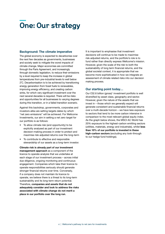## <span id="page-3-0"></span>**One: Our strategy**

#### **Background: The climate imperative**

The global economy is expected to decarbonise over the next few decades as governments, businesses and society seek to mitigate the worst impacts of climate change. Major economies are committed through the Paris Agreement, and increasingly through domestic legislation, to reduce their emissions by a level required to keep the increase in global temperatures from pre-industrial levels to well below 2˚C. Decarbonisation is to be achieved by transitioning energy generation from fossil fuels to renewables, improving energy efficiency, and creating carbon sinks, for which very significant investment over the next several decades is required. There will be risks and opportunities for all businesses to varying degrees during this transition, or in a failed transition scenario.

Against this backdrop, governments, corporates and investors alike are setting targets dates by which "net zero emissions" will be achieved. For Wellcome Investments, our aim in setting a net zero target for our portfolio is as follows:

- To allow climate risk (and opportunity) to be explicitly analysed as part of our investment decision-making process in order to protect and maximise risk-adjusted returns over the long-term
- To contribute to effective and responsible stewardship of our assets as a long-term investor.

**Climate risk is already part of our investment management approach** as a component of the licence to operate analysis that we undertake at each stage of our investment process – across initial due diligence, ongoing monitoring and continuous engagement. Companies which take their licence to operate responsibilities seriously should generate stronger financial returns over time. Conversely, if a company does not maintain its licence to operate, we believe there is a threat to its long-term sustainability and its long-term return potential. Therefore, **companies and assets that do not adequately consider and look to address the risks associated with climate change do not merit a place in our portfolio over the long run**.

It is important to emphasise that investment decisions will continue to be made to maximise risk-adjusted returns, and the portfolio's role is to fund rather than directly express Wellcome's mission. However, given the scale of the risk to both the sustainability of long term financial returns, and the global societal context, it is appropriate that we become more sophisticated in how we integrate an assessment of climate related risks into our decision making process.

#### **Our starting point today…**

Our £32.6 billion (gross)<sup>1</sup> investment portfolio is well diversified by asset class, geography and sector. However, given the nature of the assets that we invest in – those which we generally expect will generate consistent and sustainable financial returns over a multi-decade horizon – we have less exposure to sectors that tend to be more carbon intensive in comparison to the most relevant global equity index. As the graph below shows, the MSCI AC World has 20% exposure to the highest-carbon emitting sectors (utilities, materials, energy and industrials), whilst **less than 10% of our portfolio is invested in these high-carbon sectors** (excluding any look-through to our hedge fund holdings).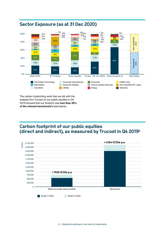

### <span id="page-4-0"></span>**Sector Exposure (as at 31 Dec 2020)**

The carbon footprinting work that we did with the analysis firm Trucost on our public equities in Q4 2019 showed that our footprint was **less than 30% of the relevant benchmark's** (see below).

### **Carbon footprint of our public equities (direct and indirect), as measured by Trucost in Q4 20192**

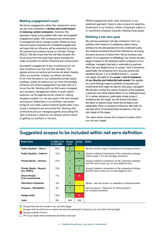#### <span id="page-5-0"></span>**Making engagement count**

We favour engagement rather than divestment, since we are most interested in **driving real world impact in reducing carbon emissions**. However, this approach needs to be justified with clear and targeted engagement goals, with consequences (divestment) if management fail to change course. Whilst we have had some good experiences of bilateral engagement, we hope that our influence will be extended by joining the Institutional Investors Group on Climate Change (IIGCC). We also hope that this will help broaden the focus away from the fossil fuels sector towards the wider ecosystem of carbon financing and consumption.

Successful engagement is key to achieving our net zero ambitions over the next few decades. This applies across all sectors and across all asset classes within our portfolio. Indeed, our efforts are likely to be most focused on our substantial private equity holdings, where we believe we can have the greatest influence and where engagement has been less of a focus thus far. Working with our third party managers and company management teams to push carbon reduction up the agenda will be critical to making progress towards our net zero goal in the next decade and beyond. Elsewhere in our portfolio, real estate brings its own hefty carbon footprint (particularly if any scope 3 emissions are accounted for). Working with contractors and our managing agents and putting the right incentives in place for our tenants will be critical to getting our portfolio to net zero.

Whilst engagement (with clear intentions) is our preferred approach, there is also a place for selective divestment in our toolbox, where companies make no or insufficient progress towards meeting these goals.

#### **Defining a net zero goal**

We will have achieved "net zero emissions" from our portfolio when there is no additional carbon being emitted into the atmosphere from its constituent parts; any residual emissions should be matched by removing the same amount of carbon from the air (however, see below on our approach to offsetting). Our formal net zero target is based on the absolute carbon emissions of our holdings, managed internally or externally by partners. Most net zero targets focus on scope 1 and 2 emissions, specifically, the emissions from sources owned and operated (scope 1) or controlled (scope 2 – power). Our target will apply to the **scope 1 and 2 emissions of our directly and indirectly-held assets**; this applies on a look-through basis to portfolio companies and investments that might be held by third party managers<sup>3</sup>. We will also monitor the carbon footprint of the suppliers, customers and other stakeholders of our holdings (scope 3). In certain situations, particularly where scope 3 emissions are very large, we will ensure that steps are taken to reduce these where the emissions are reasonably within a company's influence, although we will stop short of including these emissions in the net zero target at this stage.

The table below shows the scopes included within our net zero target:

#### **Asset Class % GAV as of 31/12/2020 Scope 1 & 2 Scope 3 Notes Public Equities – Direct** 34% Y Y We will monitor scope 3 emissions of the large emittors **Public Equities – Indirect** 12% Y Y Scope 3 relates to emissions of the underyling holdings, while scopes 1 & 2 are manager emissions **Private Equity – Venture** 12% Y Y Scope 3 relates to emissions of the underyling holdings and GP travel costs (e.g. for due diligence etc.) **Private Equity – Buyout (inc. MAPs)** 10% | Y | Y | Scope 3 relates to emissions of the underyling holdings and GP travel costs (e.g. for due diligence etc.) **Direct Private & Co-investments** 7% Y N **Operating companies**  $\begin{vmatrix} 3\% & \mathsf{Y} & \mathsf{Z} \\ 0 & 4\end{vmatrix}$  Varied – see the section on operating companies below **Property – Residential** 3% Y See the section "Approach for direct property" for included emissions **Hedge funds**  $\begin{array}{|c|c|c|c|c|} \hline \end{array}$  10%  $\begin{array}{|c|c|c|c|c|} \hline \end{array}$  Y N **Cash** 9% NM NM

### **Suggested scopes to be included within net zero definition**

Scopes that we will include in our net zero target

Scopes that we will focus on where we have the potential to influence, but not within formal target

Scopes outside of focus

 $\Box$  WT focus areas where emissions are likely to be high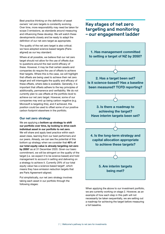<span id="page-6-0"></span>Best practice thinking on the definition of asset owners' net zero targets is constantly evolving. Over time, more responsibility may need be taken for scope 3 emissions, as standards around measuring and influencing these develop. We will watch these developments closely and be ready to adapt the definition of our net zero target as appropriate.

The quality of the net zero target is also critical; we have adopted science-based targets (Parisaligned) as our key standard.

Where at all possible, we believe that our net zero target should not allow for the use of offsets due to questions around the real-world efficacy of these. However, it may be that certain assets and companies do require the use of offsets to achieve their targets. Where this is the case, we will highlight that offsets are being used to achieve their net zero target and will interrogate the quality and efficacy of these offsets, where data is available. Generally, it is important that offsets adhere to the key principles of additionality, permanence and verifiability. We do not currently plan to use offsets at the portfolio level to achieve our net zero target. However, some of our companies may end up being carbon negative (e.g. Microsoft is targeting this), and if achieved, this position could be used to offset some of our positive carbon footprint elsewhere in the portfolio.

#### **Our net zero strategy**

We are applying a **bottom up strategy to shift our portfolio over time, by looking to drive each individual asset in our portfolio to net zero**. We will share and apply best practice within each asset class, learning from our best performers and our peers. Already, we can see the potential of this bottom up strategy when we consider that **45% of our total equity value is already targeting net zero**  by 2050<sup>5</sup> as at 31 December 2020. Given our basic commitment, we will be stringent on the quality of the target (i.e. we expect it to be science based) and hold management to account in setting and delivering on a strategy to achieve it. Currently 29% of our total equity value has a science-based target<sup>6</sup>, which means they have emission reduction targets that are Paris Agreement-aligned.

Put simplistically, our net zero strategy involves taking each asset in our portfolio through the following stages:

### **Key stages of net zero targeting and monitoring – our engagement ladder**

**1. Has management committed to setting a target of NZ by 2050?**

**2. Has a target been set? Is it science-based? Has a baseline been measured? TCFD reporting?**

**3. Is there a roadmap to achieving the target? Have interim targets been set?**

**4. Is the long-term strategy and capital allocation appropriate to achieve these targets?**

> **5. Are interim targets being met?**

When applying the above to our investment portfolio, we are currently working on stage 2. However, as an example of how each step in this path will not necessarily be taken sequentially, we are setting out a roadmap for achieving the target before measuring a full baseline.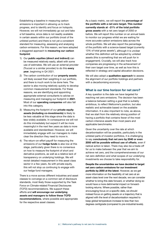<span id="page-7-0"></span>Establishing a baseline in measuring carbon emissions is important in allowing us to track progress, and to identify and focus on hotspots. However, we will not immediately go out and take a full baseline, since data is not readily available in certain assets within our portfolio (most of the unlisted portion) and there is not yet a consistent standard for measuring, assessing and analysing carbon emissions. For this reason, we have adopted a staggered approach to **measuring our carbon footprint**:

- 1) Our **public equities (direct and indirect)** can be measured relatively easily, albeit with some use of estimates. We will use an external provider (Trucost or a similar provider) to do this **every year**, beginning in Q4 2021.
- 2) The carbon contribution of our **property assets** will likely exceed their weighting in our portfolio, and there is much work to be done here. The sector is also moving relatively quickly to develop common measurement standards. For these reasons, we are identifying and appointing appropriate external consultants to advise on measuring and managing our footprint in **2021**. Most of our **operating companies** will also fall into this category.
- 3) Measuring the footprint of our **private equity assets (including co-investments)** is likely to be less valuable at this stage since the data is less widely available. In consequence we will not do this immediately but expect it will be more meaningful in the next few years as data is more available and standardised. However, we will immediately engage with our managers to make clear the direction they need to move in.
- 4) The return-on-effort payoff for measuring the emissions of our **hedge funds** is also low at this stage, particularly given there is no consensus on how to measure the footprint of short and derivative positions, as well as a relative lack of transparency on underlying holdings. We will revisit detailed measurement in this asset class sector in a few years. As with private equity, this will not stop us continuing to engage with our hedge fund managers.

There is a move across different industries and asset classes to converge on a common set of disclosure standards, most likely those supported by the Task Force on Climate-related Financial Disclosures (TCFD) recommendations. We support these efforts and **will encourage our underlying assets and managers to follow these TCFD recommendations**, where possible and appropriate for the respective asset classes.

As a basic metric, we will report the **percentage of the portfolio with a net zero target. This number currently stands at ~21% of the total portfolio gross assets** with a net zero target of 2050 or before. We will report this number on an annual basis to monitor our progress whilst we are waiting for more accurate carbon emissions data across the whole portfolio. We will also report the percentage of the portfolio with a science-based target (currently 13% of total gross assets<sup>7</sup>), although it is unclear whether this definition will be adopted by unlisted assets (this is something that we will push for in engagement). Crucially, we will also track how companies are progressing in the achievement of their own target over time, as well as how this is reflected in strategy and capital allocation decisions.

We will also adopt a **qualitative approach** to assess the alignment of our portfolio holdings and partners with a decarbonising economy.

#### **What is our time horizon for net zero?**

A key question is the date we have targeted for reaching net zero emissions. The decision has been a balance between setting a goal that is suitably ambitious, to reflect Wellcome's position, but also realistic and achievable based on the available information. It is also important to note, as above, that we start from the relatively strong position of having a portfolio that contains fewer of the most carbon-intensive assets than most peers and applicable benchmarks.

Given the uncertainty over the rate at which decarbonisation will be possible, particularly in the unlisted parts of investor portfolios, it is challenging to say **conclusively that net zero by 2040 or even 2050 will be possible without use of offsets**, even if radical action is taken. There may also be a trade-off for us to make between the year that we aim to achieve net zero, and the comprehensiveness of our net zero definition and what scopes of our underlying investments we choose to take responsibility for.

**Despite the uncertainties we have decided to target net zero carbon emissions for our investment portfolio by 2050 at the latest**. However, as we get more information on the feasibility of net zero at an asset-class level over the next decade, we can consider whether to bring this date forward, or whether doing so would have a more detrimental impact on forwardlooking returns. Where possible, rather than encouraging focus on a specific date, we should instead focus on getting assets on a trajectory that is aligned with the level of decarbonisation required to keep global temperature increase to less than two degrees centigrade (compared to pre-industrial levels).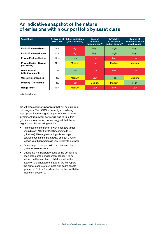### <span id="page-8-0"></span>**An indicative snapshot of the nature of emissions within our portfolio by asset class**

| <b>Asset Class</b>                            | % GAV as of<br>31/12/2020 | <b>Likely emissions</b><br>(per £ invested) | Ease of<br>emission<br>measurement? | <b>WT ability</b><br>to influence<br>carbon targets? | Degree of<br>awareness within<br>asset class? |
|-----------------------------------------------|---------------------------|---------------------------------------------|-------------------------------------|------------------------------------------------------|-----------------------------------------------|
| <b>Public Equities - Direct</b>               | 34%                       | <b>High</b>                                 | High                                | High                                                 | High                                          |
| <b>Public Equities - Indirect</b>             | 12%                       | <b>High</b>                                 | High                                | High                                                 | <b>High</b>                                   |
| <b>Private Equity - Venture</b>               | 12%                       | Low                                         | Low                                 | Low                                                  | Low                                           |
| <b>Private Equity - Buyout</b><br>(inc. MAPs) | 10%                       | <b>Medium</b>                               | Low                                 | <b>Medium</b>                                        | <b>Medium</b>                                 |
| <b>Direct Private</b><br>& Co-investments     | 7%                        | Low                                         | Low                                 | Low                                                  | Low                                           |
| <b>Operating companies</b>                    | 3%                        | <b>Medium</b>                               | Low                                 | High                                                 | <b>Medium</b>                                 |
| <b>Property - Residential</b>                 | 3%                        | High                                        | <b>Medium</b>                       | <b>Medium</b>                                        | <b>High</b>                                   |
| Hedge funds                                   | 10%                       | <b>Medium</b>                               | Low                                 | Low                                                  | Low                                           |

Note: Illustrative only

We will also set **interim targets** that will help us track our progress. The IIGCC is currently considering appropriate interim targets as part of their net zero investment framework so we will wait to take this guidance into account, but we suggest that these might cover the following metrics:

- Percentage of the portfolio with a net zero target should reach 100% by 2040 (according to SBTi guidelines). We suggest setting a linear target between our starting point today and 2040, whilst recognising that progress is very unlikely to be linear
- Percentage of the portfolio that discloses its greenhouse emissions
- Qualitative metric: percentage of the portfolio at each stage of the engagement ladder – to be refined. In the near term, whilst we refine the steps on the engagement ladder, we will report the climate score of our most significant assets (graded as 1, 2 or 3 as described in the qualitative metrics in section 2.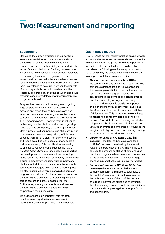## <span id="page-9-0"></span>**Two: Measurement and reporting**

#### **Background**

Measuring the carbon emissions of our portfolio assets is essential to help us to understand our climate risk exposure, identify candidates for engagement, and to further dialogue around climaterelated financial disclosure. Tracking this over time will show us how successfully our companies/assets are achieving their interim targets on the path towards net zero and will ultimately tell us when we have reached this goal at the portfolio level. However, there is a balance to be struck between the benefits of obtaining a whole portfolio baseline, and the feasibility and credibility of doing so when disclosure standards and methodologies for measurement are not yet established.

Progress has been made in recent years in getting large corporates (mainly listed companies) to measure and report their carbon emissions and reduction commitments amongst other items as a part of wider Environment, Social and Governance (ESG) reporting areas. However, there is still much further to go on the disclosure side, and a growing need to ensure consistency of reporting standards. Most privately held companies, and still many public companies, choose not to report any of this data because there is not a clear framework to measure and report data (this is the case for many sectors and asset classes). This trend is slowly reversing as climate advocacy groups (such as the IIGCC, Net Zero Asset Owners Alliance etc.) are supporting the development of measurement and reporting frameworks. The investment community behind these groups is proactively engaging with corporates to disclose footprint data and emissions targets, with some asset managers going so far as warning they will steer capital elsewhere if certain disclosure or progress is not shown. For these reasons, we expect climate-related disclosure to improve significantly across sectors and asset classes over time. Furthermore, some governments intend to make climate-related disclosure mandatory for all corporates in their jurisdiction.

We believe there is an important role for both quantitative and qualitative measurement in tracking our portfolio's progress towards net zero.

#### **Quantitative metrics**

The TCFD has set the industry practice on quantifiable emissions disclosure and recommends various metrics to measure carbon footprints. While it is important to recognise that each metric has its own limitations, we believe the following metrics are appropriate for us to use as they are simple, intuitive and enable us to compare portfolio emissions over time:

- **Absolute carbon emissions (tons CO2e)** the sum of the equity ownership of each portfolio company's greenhouse gas (GHG) emissions. This is a simple and intuitive metric that can be used to identify the largest absolute GHG contributors to the portfolio and can be tracked over time to identify changes in company emissions. However, this data is not reported on a per unit (financial or otherwise) basis, and therefore cannot be used to compare portfolios of different sizes. **This is the metric we will use to measure a company, and our portfolio's, net zero footprint**. It is worth noting that all else being equal, absolute carbon emissions will trend upwards over time as companies grow (unless the marginal unit of growth is carbon neutral) creating a headwind we will need to work against.
- **Carbon-to-Value or C/V (tons CO2e/ \$m invested)** – the total carbon emissions for a portfolio/company normalized by the market value of the portfolio/company. This metric can be used to compare portfolios of different sizes over time or against a benchmark as it normalises emissions using market value. However, large changes in market value can be misinterpreted.
- **Carbon-to-Revenue or C/R (tons CO2e/ \$m revenue)** – the total carbon emissions for a portfolio/company normalized by total sales of the portfolio/company. This metric expresses the carbon efficiency of the portfolio per unit of output. It normalises emissions by revenue, therefore making it easy to track carbon efficiency over time and compare against other portfolios and benchmarks.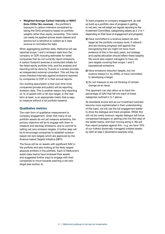<span id="page-10-0"></span>• **Weighted Average Carbon Intensity or WACI (tons CO2e/ \$m revenue)** – the portfolio's exposure to carbon-intensive companies by taking the GHG emissions based on portfolio weights rather than equity ownership. This metric can easily be applied across asset classes and sectors but is sensitive to outliers as it uses revenue to normalise the data.

When aggregating portfolio data, Wellcome will use reported scope 1 and 2 emission data from the company or CDP, including estimates for listed companies that do not currently report emissions. A carbon footprint exercise is conducted initially for the listed equity portfolio only, and the analysis and reporting will be done by Trucost or a similar provider, an independent external consultant. This will then be cross-checked internally against emissions reported by companies to CDP or in their annual reports.

Our working assumption is that over time more companies (private and public) will be reporting emission data. This is another reason why reporting on % of assets with a net zero target, in the near term at least, is an appropriate metric that is easy to measure without a full portfolio baseline.

#### **Qualitative metrics**

The main form of qualitative measurement is company engagement. Given that many of our portfolio assets do not yet measure emissions, the primary objective will be to engage with them to measure and disclose emissions, and to commit to setting net zero emission targets. A further step will be to encourage companies to establish sciencebased net zero targets which are approved by the Science-based Targets Initiative (SBTi).

The focus will be on assets with significant NAV in the portfolio and also looking at the likely largest absolute emitters in the portfolio. Each of Wellcome's asset-class teams have reviewed their assets and suggested further ways to engage with their companies to move towards reaching a net zero target (see section 4).

To track progress on company engagement, as well as build up a portfolio view of progress in getting to net zero, we will adapt our regular reporting to the Investment Committee, categorising assets as 3, 2 or 1 depending on their level of engagement and progress:

- **3)** Have committed to a science-based net zero target (at the portfolio company level, if indirect) and are tracking progress well against this (recognising that we might not have much evidence of this in the early years, but strategy and capital allocation should reflect these targets). We would also expect managers to have net zero targets covering their scope 1 and 2 (operational) emissions.
- **2)** Have emissions reduction targets, but not science-based (i.e. by 2050), or have committed to developing a target.
- **1)** Do not measure or are not thinking of climate change as an issue.

This approach can also allow us to track the percentage of GAV that fall into each of these categories outlined in 3–1 above.

As standards evolve and as our investment partners become more sophisticated in their understanding of this topic, we will use the full engagement ladder to drive the dialogue and track progress. Whilst this will not be overly onerous, regular dialogue will focus companies/managers on getting onto the first step of the ladder below, and then moving along it. We will then report progress against this – e.g. we have 10% of our indirect (externally managed) unlisted assets by GAV at step 2 [illustrative example only].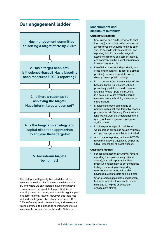<span id="page-11-0"></span>

This dialogue will typically be undertaken at the asset class level, as this is where the relationships sit, and where we can therefore have constructive conversations that speak to the practicalities of adopting a net zero target, and how this might impact long term financial returns. However, this topic has featured in a large number of our most senior (CIO/ CEO to C-suite) level conversations, and we expect this to continue, to emphasise its importance to our Investments portfolio and to the wider Wellcome.

#### **Measurement and disclosure summary**

#### **Quantitative metrics:**

- Use Trucost or a similar provider to track footprint (i.e. absolute carbon scope 1 and 2 emissions) of our public holdings each year, to coincide with financial year-end reporting. Monitor annual changes in absolute emissions and carbon intensity, and comment on the largest contributors to emissions for context
- Use CDP to monitor independently and cross-check (against Trucost or a similar provider) the emissions status of our directly owned public holdings
- Not to construct/estimate a full portfolio baseline (including unlisted) yet, but proactively push for more disclosure and plan for a full portfolio baseline in a couple of years when the carbon measurement methodologies are more standardised
- Disclose and track percentage of portfolio with a net zero target by scoring progress for all of our significant assets (and we will work on understanding the quality of these targets and progress against them)
- Disclose percentage of portfolio for which carbon emissions data is available, and percentage for which it is estimated
- Advocate for reporting in line with TCFD recommendations (measuring as per the GHG Protocol) for all asset classes.

#### **Qualitative metrics:**

- For asset classes that currently have no reporting framework (mainly private assets), our main approach will be proactive engagement to get companies to begin measuring and reporting emissions as a starter, with a view to having reduction targets as a next step
- Chart progress against the engagement ladder to keep track of climate related risks and to help us prioritise our engagement efforts.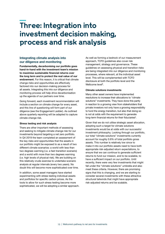## <span id="page-12-0"></span>**Three: Integration into investment decision making, process and risk analysis**

#### **Integrating climate analysis into our diligence and monitoring**

**Fundamentally, decarbonising our portfolio goes hand-in-hand with the investment team's mission to maximise sustainable financial returns over the long term and to protect the real value of our endowment**. For this reason, it is critical that climate change risks and opportunities are effectively factored into our decision-making process for all assets. Integrating this into our diligence and monitoring process will help drive decarbonisation up the agenda of our partners over time.

Going forward, each investment recommendation will include a section on climate change for every asset, and this line of questioning will form part of our diligence (see the Engagement Ladder). As outlined above quarterly reporting will be adapted to capture climate change risk.

#### **Stress testing and risk analysis**

There are other important methods of assessing and seeking to mitigate climate change risk for our investments beyond targeting a net zero portfolio. In Q4 2019 the team completed an assessment of the key risks and opportunities that the assets in our portfolio might be exposed to as a result of two different climate scenarios: a world with less than two degrees warming (i.e. a fast transition scenario) and a world with more than two degrees warming (i.e. high levels of physical risk). We are building on this relatively crude exercise to undertake scenario analysis at regular intervals (every two years). No doubt this will become more sophisticated over time.

In addition, some asset managers have started experimenting with stress testing individual assets and portfolios for specific carbon prices. As the tools to allow for such stress testing become more sophisticated, we will be adopting a similar approach. As well as forming a bedrock of our measurement approach, TCFD guidelines also cover risk management, strategy and governance. These guidelines on assessing physical and transition risks are being integrated into our diligence and monitoring processes, where relevant, at the individual asset level. This will be complemented with TCFD disclosure at both the portfolio level and the Wellcome level<sup>8</sup>.

#### **Climate solutions investments**

Many other asset owners have implemented resolutions to increase their allocations to "climate solutions" investments. They have done this partly in reaction to a growing view from stakeholders that private investors not only have a growing responsibility to fund the energy transition, but also that doing so is not at odds with the requirement to generate long-term financial returns for their fiduciaries<sup>9</sup>.

Given that we do not utilise strategic asset allocation, adopting such a target for climate solutions investments would be at odds with our successful investment philosophy. Looking through our portfolio, our total "climate solutions" investments currently account for roughly 0.6% of total portfolio gross assets. This number is relatively low since to make it into our portfolio assets need to have both appropriate risk-adjusted return expectations, to ensure that we can continue to generate sufficient returns to fund our mission, and to be scalable, to have a sufficient impact on our portfolio. Until recently, there were very few investments that might fall under the "climate solutions" umbrella and also meet these criteria. However, there are promising signs that this is changing, and we are starting to consider several investments with these attractive structural tailwinds that might have appropriate risk-adjusted returns and be scalable.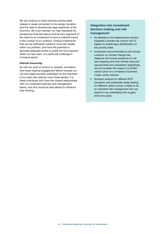We will continue to build networks across asset classes in areas connected to the energy transition and the need to decarbonise large segments of the economy. We must maintain our high standards for prospective financial returns and be very cognisant of the need for an investment to have a material impact in the context of our portfolio. Finding investments that can be sufficiently scaled to move the needle within our portfolio, and have the potential to generate adequate profits to justify the time required within our lean team, is a particular challenge in immature sector.

#### **Internal resourcing**

As with our work on licence to operate, we believe that these ongoing engagement efforts towards our net zero target are best undertaken by the members of our team who directly cover these assets. It is these individuals who have the closest relationships with our investment partners and management teams, and who would be best placed to influence their thinking.

#### **Integration into investment decision making and risk management**

- As detailed in the measurement section, integrate a climate risk column into IC papers to enable easy identification of key priority areas
- Investment recommendations will include a section on climate change risk; diligence will include questions on net zero targeting and how climate risks and opportunities are considered. Specifically, we will consider the impact of a \$100/t carbon price on a company's business model, where relevant
- Scenario analysis for different RCP scenarios, and potentially stress testing for different carbon prices, is likely to be an important risk management tool; we expect to be undertaking this roughly every two years.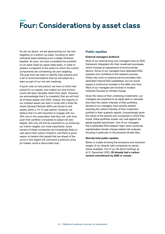## <span id="page-14-0"></span>**Four: Considerations by asset class**

As set out above, we are approaching our net zero targeting on a bottom up basis, focusing on each individual asset adopting such a target wherever feasible. As such, we have considered the portfolio on an asset class-by-asset class basis, in order to present a snapshot of the extent to which the current components are considering net zero targeting. The goal here has been to identify best practice and a list of recommendations that we will adopt as a team as part of our net zero roadmap.

A quick note on hold period: we have no finite hold period for our assets, and indeed our time horizon could well span decades rather than years. However, we acknowledge that it is unrealistic that we will hold all of these assets until 2050. Indeed, the majority of our unlisted assets are held in funds with a finite life, where General Partners (GPs) are forced to exit assets within a 10-12 year period. However, we believe that it is still important to engage with our GPs now in the expectation that they will, with time, push their portfolio companies to adopt net zero targets. Not only will this be important to us achieving our interim targets, but most importantly, future owners of these companies are increasingly likely to care about their carbon footprint, and there is good reason to believe that assets that are ahead of the curve in this regard will command a premium price (or indeed, avoid a discounted one).

#### **Public equities**

#### **External managers (indirect)**

Most of our external long-only managers have an ESG framework integrated into their investment processes, which includes an assessment of environmental factors. Some of our managers have dedicated ESG analysts who contribute to the research process. Others rely more on external service providers than dedicated internal ESG capabilities, but we would expect a continuous increase in the latter over time. Most of our managers are involved in investor networks focused on climate change.

Given the nature of their underlying investments, our managers are expected to be easily able to calculate and track the carbon intensity of their portfolios. Several of our managers have recently started reporting the carbon intensity of their investment portfolio in their quarterly reports. Unsurprisingly given the nature of the sectors and companies in which they invest, these portfolios screen very well against the global equities benchmark. One of our managers has a dedicated ESG research team which produces sophisticated climate change-related risk analyses, focusing in particular on the physical climate risks.

#### **Directly held public equities**

Below is a table showing the emissions and reduction targets of our directly held companies by sector, where available. Out of our 38 direct holdings as at 31 December 2020, **20 already had a carbon neutral commitment by 2050 or sooner**.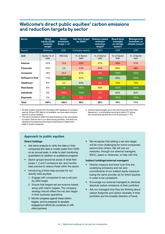### <span id="page-15-0"></span>**Wellcome's direct public equities' carbon emissions and reduction targets by sector**

| <b>Sector</b>      | <b>Direct</b><br>equity (GCB)<br>portfolio<br>weight | <b>Sector</b><br>emissions,<br>Scope $1+2$ | <b>Net Zero target</b><br>by 2050? | Science-based<br>emission<br>reduction<br>target? | <b>Board-level</b><br>oversight<br>on climate<br>issues? | <b>Management</b><br>incentives on<br>climate issues? |
|--------------------|------------------------------------------------------|--------------------------------------------|------------------------------------|---------------------------------------------------|----------------------------------------------------------|-------------------------------------------------------|
| Source             | Wellcome                                             | <b>CDP</b>                                 | Company reports                    | <b>SBTi</b>                                       | <b>CDP</b>                                               | <b>CDP</b>                                            |
| <b>Unit</b>        | Sector % of<br><b>NAV</b>                            | MtCO <sub>2e</sub>                         | % of Sector<br><b>NAV</b>          | % of Sector<br><b>NAV</b>                         | % of Sector<br><b>NAV</b>                                | % of Sector<br><b>NAV</b>                             |
| Internet           | 23%                                                  | 15.6                                       | 43%                                | 57%                                               | 46%                                                      | 31%                                                   |
| <b>Financials</b>  | 20%                                                  | 2.3                                        | 31%                                | 24%                                               | 60%                                                      | 49%                                                   |
| Consumer           | 18%                                                  | 23.2                                       | 61%                                | 0%                                                | 100%                                                     | 100%                                                  |
| Software & Tech    | 17%                                                  | 1.0                                        | 67%                                | 100%                                              | 90%                                                      | 100%                                                  |
| <b>Healthcare</b>  | 8%                                                   | 3.3                                        | 83%                                | 0%                                                | 73%                                                      | 73%                                                   |
| <b>Real Estate</b> | 6%                                                   | 1.0                                        | 100%                               | 58%                                               | 100%                                                     | 100%                                                  |
| <b>Industrials</b> | 6%                                                   | 136.0                                      | 100%                               | 0%                                                | 84%                                                      | 84%                                                   |
| <b>Payments</b>    | 2%                                                   | 0.1                                        | 0%                                 | 0%                                                | 100%                                                     | 100%                                                  |
| <b>Total</b>       | 100%                                                 | 182.5                                      | 58%                                | 38%                                               | 75%                                                      | 71%                                                   |

1. All data is taken directly from the latest CDP database of company reports. Where CDP data is not available, we have used company reports or press releases.

2. The sector emissions reflect the total emissions of the companies, by sector, that we own in our direct equity portfolio. This does not represent the proportional emissions attributed to Wellcome's stake in these companies.

3. Science-based targets are in line with the goals of the Paris Agreement – to limit global warming to below 2°C above pre-industrial levels and aim to limit warming to 1.5°C.

#### **Approach to public equities**

#### **Direct holdings**

- Ask stock analysts to verify the data on their companies (the data is mostly pulled from CDP) on an annual basis, in order to start monitoring quantitative (in addition to qualitative) progress
- Sector groups should be aware of what their scope 1, 2 and 3 emissions are, and monitor best practice to reduce these within the sector
- Introducing a three-step process for our directly held equities:
	- 1. Engage with companies to set a net zero by 2050 target
	- 2. Ensure that targets set are science-based, along with interim targets. The company strategy should reflect the net zero target in their business operations
	- 3. Monitor progress against these interim targets, and be prepared to escalate engagement efforts (by ourselves or with other partners)

• We recognise that setting a net zero target will be more challenging for some companies/ sectors than others. We will use our networks, through our external managers, IIGCC, peers or otherwise, to help with this

#### **Indirect holdings/external managers**

- Directly measure and track over time the underlying emissions and net zero commitments of our indirect equity exposure (using the same provider as for direct equities in order to be consistent)
- Encourage our external managers to disclose absolute carbon emissions of their portfolios
- Ask our managers how they are thinking about carbon footprints and carbon neutrality in their portfolios and the broader direction of travel.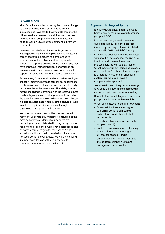#### <span id="page-16-0"></span>**Buyout funds**

Most firms have started to recognise climate change as a potential headwind or tailwind to certain industries and have started to integrate this into their diligence where relevant. In addition, we have heard from several of our partners that companies that perform well on ESG metrics command a premium upon exit.

However, the private equity sector is generally lagging public markets on topics such as measuring carbon footprints, articulating comprehensive approaches to the problem and setting targets, although exceptions do exist. While the industry may have improved their companies' performance on relevant metrics, we currently have no evidence to support or refute this due to the lack of useful data.

Private equity firms should be able to make meaningful impact in improving portfolio companies' performance on climate change metrics, because the private equity model enables active investment. This ability to enact meaningful change, combined with the fact that private equity is lagging, means that improvements made by the large firms would have significant real-world impact. It is also an asset class where investors should be able to catalyse significant improvements through engagement that is not time intensive.

We have had some constructive discussions with many of our private equity partners (including at the most senior levels). Many of our partners are becoming more sophisticated in integrating climate risks into their diligence. Some have established and hit carbon neutral targets for their scope 1 and 2 emissions, whilst (more impressively), others have released portfolio level targets. We will be engaging in a prioritised fashion with our managers to encourage them to follow a similar path.

#### **Approach to buyout funds**

- Engage with, and learn from, the work being done by the private equity working group at IIGCC
- Develop and integrate climate change questions into our diligence process (potentially building on those circulated and used in 2019, with IIGCC input)
- Continue to question the firms we invest with about climate change, making sure that this is with senior investment professionals, as well as ESG teams. Over time, we will put increasing pressure on those firms for whom climate change is a material threat to their underlying sectors, but who don't have a comprehensive approach
- Senior Wellcome colleagues to message to C-suite the importance of a reducing carbon footprint and net zero targeting
- Scope to form small, targeted discussion groups on this target with major LPs
- What "best practice" looks like our goal:
	- Enhanced disclosure aiming for publishing portfolio companies' carbon footprints in line with TCFD recommendations
	- GPs should target carbon neutrality (scopes 1 and 2)
	- Portfolio companies should ultimately adopt their own net zero targets (at least for scopes 1 and 2)
	- Carbon reduction targets integrated into portfolio company KPIs and management remuneration.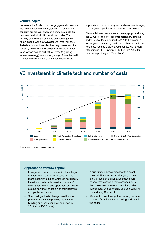#### <span id="page-17-0"></span>**Venture capital**

Venture capital funds do not, as yet, generally measure their own carbon footprints (scopes 1, 2 or 3) in any capacity, but are very aware of climate as a potential headwind and tailwind to certain industries. The majority of early-stage software companies (of the "a few coders with an AWS account" type) will have limited carbon footprints by their very nature, and it is generally noted that their companies largely attempt to be low-carbon as part of their ethos (e.g. using renewable energy) from an early stage. Some firms will attempt to encourage this at the board level where

appropriate. The most progress has been seen in larger, later stage companies which have more resources.

Cleantech investments were extremely popular during the 2000s yet failed to generate meaningful returns and fell out of favour during the 2010s. However, in recent years cleantech, or climate tech as it has been renamed, has had a bit of a resurgence, with \$16bn of funding in 2019 up from c. \$400m in 2013 (after previously peaking in 2008 at \$6bn).

### **VC investment in climate tech and number of deals**



Source: PwC analysis on Dealroom Data

#### **Approach to venture capital**

- Engage with the VC funds which have begun to show leadership in this space and the more institutional funds which do not directly invest in climate tech to get an update of their latest thinking and approach, especially around how they engage with their portfolio companies on this topic
- Start asking climate change questions as part of our diligence process (potentially building on those circulated and used in 2019, with IIGCC input)
- A quantitative measurement of this asset class will likely be very challenging, so we should focus on a qualitative assessment of how they assess climate change risk in their investment theses/underwriting (when appropriate) and potentially add an operating piece during ODD work
- We should, over time, put increasing pressure on those firms identified to be laggards within the space.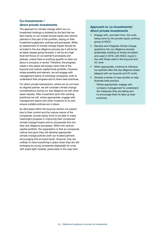#### <span id="page-18-0"></span>**Co-investments / direct private investments**

The approach to climate change within our coinvestment holdings is dictated by the fact that we lean heavily on our trusted private equity and venture partners in this part of the portfolio, relying on their investment judgement, policies and processes. While an assessment of climate change impact should be included in the due diligence process (as it will be for all asset classes going forward), it will be at a high level and focus on our partner's processes and policies, unless there is anything specific to draw out about a company or sector. Therefore, the progress made in this space will closely mirror that of the buyouts and venture capital funds portfolio. However, where possible and relevant, we will engage with management teams of individual companies, both to understand their progress and to share best-practices.

For direct private transactions, where we do not have an aligned partner, we will consider climate change considerations during our due diligence as with other asset classes. After investment (and with existing positions) we will, where appropriate, engage with management teams and other investors to try and ensure suitable policies are in place.

As discussed within the buyouts section we expect, due to their control and the mature nature of the companies, private equity firms to be able to make meaningful progress in improving their companies' climate change impact and to incorporate this into their due diligence processes. Within the venture capital portfolio, the expectation is that as companies mature and grow they will develop appropriate climate change policies (with our trusted partners encouraging this at board level). However, they are unlikely to have everything in place when they are still emerging as young companies (especially for ones with asset-light models), particularly in the near term.

#### **Approach to co-investments/ direct private investments**

- Engage with, and learn from, the work being done by the private equity working group at IIGCC
- Develop and integrate climate change questions into our diligence process (potentially building on those circulated and used in 2019, with IIGCC input) in line with those used in the buyouts and VC work
- When appropriate, continue to influence our partners after the due diligence phase (aligned with our buyouts and VC work)
- Develop a series of case studies to help illustrate best practice
	- Where appropriate, engage with company management to understand the measures they are taking and to encourage them to take up best practices.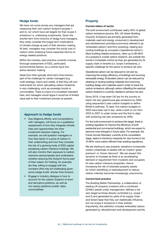#### <span id="page-19-0"></span>**Hedge funds**

We have not come across any managers that are measuring their own carbon footprint (scopes 1 and 2), nor which have set targets for their scope 3 emissions i.e. underlying investments. Given the shorter-term time horizons of hedge fund managers, they rarely consider the longer-term implications of climate change as part of their decision making. At best, managers may consider the social cost of carbon when analysing future expected returns on energy-related positions.

Within the industry, best practice currently involves thorough assessment of ESG, particularly environmental factors, as a central input into active decision making.

Aside from their typically short-term time horizon, part of the challenge for certain managers (e.g. multi-strategy, macro and credit), is that they will own instruments for which calculating carbon footprints is very challenging, such as sovereign bonds or commodities. There is a lack of a consistent standard here, and managers would argue it would be of limited value add to their investment process at present.

#### **Approach to hedge funds**

- Due diligence efforts, and conversations with managers, will focus on a qualitative assessment of how they integrate climate risks and opportunities into their investment decision making. For example, we will question managers on how they factor in a price of carbon in their underwriting and how they consider the risk of a growing body of ESG capital penalising carbon intensive holdings. We will also monitor their exposure to carbon intensive sectors/assets and understand whether reducing this footprint forms part of their reason for holding, for example, are they willing to engage with the company (this may be challenging given some hedge funds' shorter time horizon)
- Engage in industry dialogue in how to account for the carbon footprint of short and derivative positions, as well as non-equity positions (credit, rates, commodities).

#### **Property**

#### **Current status of sector**

The built environment contributes nearly 40% of global carbon emissions (source: IEA, UK Green Building Council). Emissions are primarily generated from materials used and energy consumed in development and refurbishment activities (commonly referred to as 'embodied carbon') and from powering, heating and cooling buildings by occupiers ('operational carbon'). Most building-related emissions, often up to 80-90% of a property's overall carbon footprint, are outside the owner's immediate control as they are generated by its supply chain or tenants (i.e. scope 3 emissions), a specific challenge for the sector to achieve net zero.

Operational carbon can be reduced to net zero by improving the energy efficiency of buildings and sourcing renewable energy. Embodied carbon can be reduced by retaining or reusing existing materials and improving building design and materials used in order to lower the carbon emissions; although carbon offsetting the residual carbon footprint is currently needed to achieve net zero.

Since 2019, it has been UK law for the country to reach net zero greenhouse gas emissions by 2050, using sequential 5-year carbon budgets to define Britain's pathway. To date, five carbon budgets to 2032 have been set in law, while a sixth to run from 2033 to 2037 is under review and the first to align with achieving net zero emissions by 2050.

For the built environment to achieve this target, there is existing regulation to improve the efficiency of both residential and commercial buildings, which we expect to become more stringent in future years. For example, the Future Homes Standard, currently at the consultation stage, seeks to introduce measures for new homes to be 75-80% more carbon efficient than existing regulations.

We are starting to see property valuations incorporate carbon credentials of assets with an implicit 'green premium' or 'brown discount'. We can expect this dynamic to increase as there is an accelerating demand or requirement from investors and occupiers for less carbon intensive properties. Hence, increasing the risk of stranded property assets for which retrofitting or redevelopment to reduce carbon intensity becomes increasingly uneconomic.

#### **Current best practice**

The Building Better Partnership, a collaboration of leading UK property investors with a combined £240bn assets under management, defines a net zero target as those directly controlled (i.e. scope 1 and 2) and generated by parts of its supply chain and tenant base that they can realistically influence, but not scope 3 emissions in their entirety. Importantly, this definition includes embodied carbon generated by refurbishment and development activity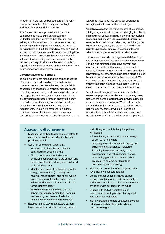(though not historical embedded carbon), tenants' energy consumption (electricity and heating), and refurbishment and fit-out works.

This framework has supported leading market participants to make significant progress in understanding their current carbon footprint and setting a pathway to becoming net zero carbon. An increasing number of property owners are targeting being net zero by 2030 for their direct (scope 1 and 2) emissions, with the most ambitious also including their indirect (scope 3) emissions that can be realistically influenced. All are using carbon offsets within their net zero pathways to eliminate the residual carbon, especially the harder to reduce embodied carbon from refurbishment and development activity.

#### **Current status of our portfolio**

To date we have not measured the carbon footprint of our direct property holdings or asset-backed operating companies. Nonetheless, climate risk is considered by most of our property managers and operating companies, typically as a separate risk on the respective risk register. Further, climate risk is already being addressed through energy efficiency or on-site renewable energy generation initiatives, driven by economic imperative or regulatory requirements. Though we have yet to explicitly consider the risk of rising sea levels, in certain scenarios, to our property assets. Assessment of this risk will be integrated into our wider approach to managing climate risk for these holdings.

We acknowledge that the status of some of our property holdings may make net zero more challenging to achieve and may mean offsetting is required to eliminate residual operational carbon, as well as embedded carbon. For example, listed building regulation may restrict upgrades to reduce energy usage, and we will be limited in our ability to upgrade buildings or influence our tenants' behaviour for properties subject to existing leases.

For our direct property holdings, we will define a net zero carbon target that we can directly control (scope 1 and 2) and emissions from development and refurbishment activity (that are considered within scope 3). We plan to monitor and influence emissions generated by our tenants, though at this stage exclude these emissions from our formal net zero target. We also need to carefully assess the physical risks that property might be exposed to, so that we can be ahead of the curve with our investment decisions.

We will need to engage specialist consultants to assess the physical risks climate change may pose, measure the carbon footprint, and provide strategic advice on a net zero pathway. We are at the early stage of determining the scope of specialist advice that we require, some of which is likely to be recurring (i.e. carbon footprint measurement) and the balance one-off in nature (i.e. setting a pathway).

#### **Approach to direct property**

- Measure the carbon footprint of our estate to establish a baseline and identify the best providers for this
- Set a net zero carbon target that:
	- Includes emissions that are directly controlled (i.e. scope 1 and 2)
	- Aims to include embodied carbon emissions generated by refurbishment and development activity (though not historical embedded carbon)
	- Monitors and seeks to influence tenant's energy consumption (electricity and heating), refurbishment and fit-out works except where we have limited control or influence. However, this is not within the formal net zero target
	- Excludes tenants' emissions that we cannot realistically control (e.g. from our residential ground rented freeholds or tenants' water consumption or waste)
- Establish a pathway to a net zero carbon target, consistent with the Paris Agreement

and UK legislation. It is likely the pathway will include:

- Transitioning all landlord procured energy to be 100% renewable
- Investing in on-site renewable energy and building energy efficiency measures
- Reducing the carbon intensity of our development and refurbishment activity
- Introducing green lease clauses (where practical) to commit our tenants to purchase renewable energy
- Monitor the proportion of our suppliers that have their own net zero targets
- Consider other building-related carbon emissions outside of our net zero definition and assess whether practical to include these emissions with our target in the future
- Engage with IIGCC workstreams on measurement, setting and achieving a net zero target for real estate
- Identify providers to help us assess physical risks to our real estate assets, albeit a medium-term goal.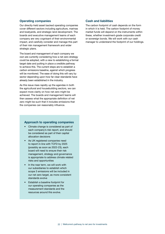#### <span id="page-21-0"></span>**Operating companies**

Our directly-held asset backed operating companies cover different sectors including agriculture, marinas and boatyards, and strategic land development. The boards and executive management teams of each company are very cognisant of their environmental impact, and carefully consider and manage this part of their risk management framework and wider strategic plans.

The board and management of each company we own are currently considering how a net zero strategy could be adopted, with a view to establishing a formal target date and putting in place a credible pathway to achieve this. The current steps are to establish a carbon emissions baseline, against which progress will be monitored. The ease of doing this will vary by sector depending upon how far clear standards have already been established in the industry.

As this issue rises rapidly up the agendas in both the agricultural and housebuilding sectors, we can expect more clarity on how net zero might be achieved. The boards and management teams will then assess what the appropriate definition of net zero might be such that it includes emissions that the companies can reasonably influence.

#### **Approach to operating companies**

- Climate change is considered as part of each company's risk report, and should be considered as part of their capital allocation decisions
- As UK registered companies need to report in-line with TCFD by 2025 (possibly as soon as 2022-23), each board will need to ensure their risk management, strategy and governance is appropriate to address climate related risks and opportunities
- In the near term, we will work with our subsidiaries to establish which scope 3 emissions will be included in our net zero target, as more consistent standards evolve
- Establish a baseline footprint for our operating companies as the measurement standards and the resources around this evolve.

#### **Cash and liabilities**

The carbon footprint of cash depends on the form in which it is held. The carbon footprint of money market funds will depend on the instruments within these, whether investment-grade corporate credit or sovereign bonds. We will work with our cash manager to understand the footprint of our holdings.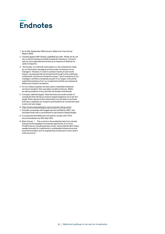## <span id="page-22-0"></span>**Endnotes**

- 1. As at 30th September 2020 (source: Wellcome Trust Annual Report 2020)
- 2. Charted against S&P Global LargeMidCap index. Whilst we do not rely on benchmarking to dictate investment decisions, Trucost's reports use a selected benchmark as a measure of relativity for carbon footprints
- 3. Technically, our indirectly held assets (i.e. the investments made by our third-party managers) are the scope 3 emissions of our managers'. However, in order to achieve maximum real-world impact, we propose that we should look through to the underlying investments, and hence include the scope 1 and 2 emissions of our managers' portfolio companies as part of our target. It should be noted that emissions from our investment portfolio are classed as Wellcome's Scope 3 emissions.
- 4. For our indirect equities we have used a materiality threshold: we have included in this calculation positions that are >\$30m as well as positions of any size that we already hold directly
- 5. Company-defined targets. Note that there are small number of companies that will have a science-based target but not a net zero target; these require further examination but are likely to be those that have a relatively low footprint and therefore do not feel the need to set a net zero target.
- 6. [https://sciencebasedtargets.org/companies-taking-action]( https://sciencebasedtargets.org/companies-taking-action)
- 7. Includes companies with targets set and certified by SBTi, and excludes those with a commitment to set science-based targets
- 8. It is expected that Wellcome will need to comply with TCFD recommendations by 30th Sep 2022.
- 9. Mark Carney: "… This could turn the existential risks from climate change into the greatest commercial opportunity of our time. Private finance, including pension funds, will provide the \$3.5 trillion needed annually for investments in sustainable infrastructure and fund the innovation and re-engineering of business in every sector of the economy."